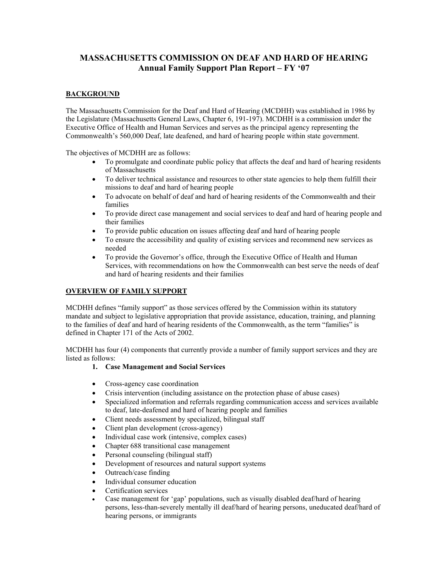# **MASSACHUSETTS COMMISSION ON DEAF AND HARD OF HEARING Annual Family Support Plan Report – FY '07**

## **BACKGROUND**

The Massachusetts Commission for the Deaf and Hard of Hearing (MCDHH) was established in 1986 by the Legislature (Massachusetts General Laws, Chapter 6, 191-197). MCDHH is a commission under the Executive Office of Health and Human Services and serves as the principal agency representing the Commonwealth's 560,000 Deaf, late deafened, and hard of hearing people within state government.

The objectives of MCDHH are as follows:

- To promulgate and coordinate public policy that affects the deaf and hard of hearing residents of Massachusetts
- To deliver technical assistance and resources to other state agencies to help them fulfill their missions to deaf and hard of hearing people
- To advocate on behalf of deaf and hard of hearing residents of the Commonwealth and their families
- To provide direct case management and social services to deaf and hard of hearing people and their families
- To provide public education on issues affecting deaf and hard of hearing people
- To ensure the accessibility and quality of existing services and recommend new services as needed
- To provide the Governor's office, through the Executive Office of Health and Human Services, with recommendations on how the Commonwealth can best serve the needs of deaf and hard of hearing residents and their families

## **OVERVIEW OF FAMILY SUPPORT**

MCDHH defines "family support" as those services offered by the Commission within its statutory mandate and subject to legislative appropriation that provide assistance, education, training, and planning to the families of deaf and hard of hearing residents of the Commonwealth, as the term "families" is defined in Chapter 171 of the Acts of 2002.

MCDHH has four (4) components that currently provide a number of family support services and they are listed as follows:

## **1. Case Management and Social Services**

- Cross-agency case coordination
- Crisis intervention (including assistance on the protection phase of abuse cases)
- Specialized information and referrals regarding communication access and services available to deaf, late-deafened and hard of hearing people and families
- Client needs assessment by specialized, bilingual staff
- Client plan development (cross-agency)
- Individual case work (intensive, complex cases)
- Chapter 688 transitional case management
- Personal counseling (bilingual staff)
- Development of resources and natural support systems
- Outreach/case finding
- Individual consumer education
- Certification services
- Case management for 'gap' populations, such as visually disabled deaf/hard of hearing persons, less-than-severely mentally ill deaf/hard of hearing persons, uneducated deaf/hard of hearing persons, or immigrants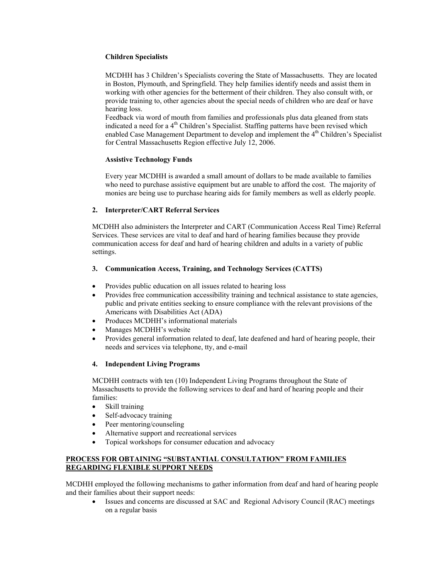## **Children Specialists**

MCDHH has 3 Children's Specialists covering the State of Massachusetts. They are located in Boston, Plymouth, and Springfield. They help families identify needs and assist them in working with other agencies for the betterment of their children. They also consult with, or provide training to, other agencies about the special needs of children who are deaf or have hearing loss.

Feedback via word of mouth from families and professionals plus data gleaned from stats indicated a need for a  $4<sup>th</sup>$  Children's Specialist. Staffing patterns have been revised which enabled Case Management Department to develop and implement the  $4<sup>th</sup>$  Children's Specialist for Central Massachusetts Region effective July 12, 2006.

#### **Assistive Technology Funds**

Every year MCDHH is awarded a small amount of dollars to be made available to families who need to purchase assistive equipment but are unable to afford the cost. The majority of monies are being use to purchase hearing aids for family members as well as elderly people.

## **2. Interpreter/CART Referral Services**

MCDHH also administers the Interpreter and CART (Communication Access Real Time) Referral Services. These services are vital to deaf and hard of hearing families because they provide communication access for deaf and hard of hearing children and adults in a variety of public settings.

## **3. Communication Access, Training, and Technology Services (CATTS)**

- Provides public education on all issues related to hearing loss
- Provides free communication accessibility training and technical assistance to state agencies, public and private entities seeking to ensure compliance with the relevant provisions of the Americans with Disabilities Act (ADA)
- Produces MCDHH's informational materials
- Manages MCDHH's website
- Provides general information related to deaf, late deafened and hard of hearing people, their needs and services via telephone, tty, and e-mail

#### **4. Independent Living Programs**

MCDHH contracts with ten (10) Independent Living Programs throughout the State of Massachusetts to provide the following services to deaf and hard of hearing people and their families:

- Skill training
- Self-advocacy training
- Peer mentoring/counseling
- Alternative support and recreational services
- Topical workshops for consumer education and advocacy

#### **PROCESS FOR OBTAINING "SUBSTANTIAL CONSULTATION" FROM FAMILIES REGARDING FLEXIBLE SUPPORT NEEDS**

MCDHH employed the following mechanisms to gather information from deaf and hard of hearing people and their families about their support needs:

• Issues and concerns are discussed at SAC and Regional Advisory Council (RAC) meetings on a regular basis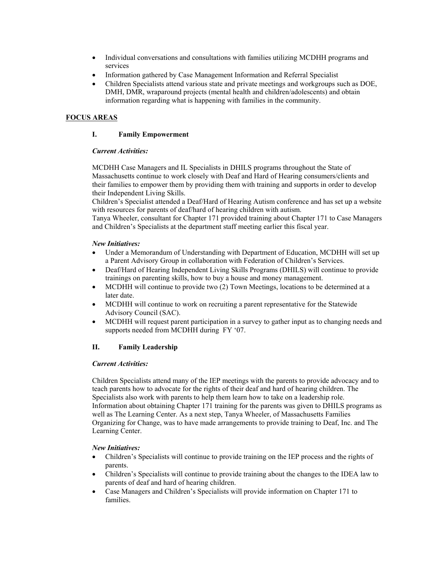- Individual conversations and consultations with families utilizing MCDHH programs and services
- Information gathered by Case Management Information and Referral Specialist
- Children Specialists attend various state and private meetings and workgroups such as DOE, DMH, DMR, wraparound projects (mental health and children/adolescents) and obtain information regarding what is happening with families in the community.

## **FOCUS AREAS**

## **I. Family Empowerment**

## *Current Activities:*

MCDHH Case Managers and IL Specialists in DHILS programs throughout the State of Massachusetts continue to work closely with Deaf and Hard of Hearing consumers/clients and their families to empower them by providing them with training and supports in order to develop their Independent Living Skills.

Children's Specialist attended a Deaf/Hard of Hearing Autism conference and has set up a website with resources for parents of deaf/hard of hearing children with autism.

Tanya Wheeler, consultant for Chapter 171 provided training about Chapter 171 to Case Managers and Children's Specialists at the department staff meeting earlier this fiscal year.

## *New Initiatives:*

- Under a Memorandum of Understanding with Department of Education, MCDHH will set up a Parent Advisory Group in collaboration with Federation of Children's Services.
- Deaf/Hard of Hearing Independent Living Skills Programs (DHILS) will continue to provide trainings on parenting skills, how to buy a house and money management.
- MCDHH will continue to provide two (2) Town Meetings, locations to be determined at a later date.
- MCDHH will continue to work on recruiting a parent representative for the Statewide Advisory Council (SAC).
- MCDHH will request parent participation in a survey to gather input as to changing needs and supports needed from MCDHH during FY '07.

## **II. Family Leadership**

## *Current Activities:*

Children Specialists attend many of the IEP meetings with the parents to provide advocacy and to teach parents how to advocate for the rights of their deaf and hard of hearing children. The Specialists also work with parents to help them learn how to take on a leadership role. Information about obtaining Chapter 171 training for the parents was given to DHILS programs as well as The Learning Center. As a next step, Tanya Wheeler, of Massachusetts Families Organizing for Change, was to have made arrangements to provide training to Deaf, Inc. and The Learning Center.

## *New Initiatives:*

- Children's Specialists will continue to provide training on the IEP process and the rights of parents.
- Children's Specialists will continue to provide training about the changes to the IDEA law to parents of deaf and hard of hearing children.
- Case Managers and Children's Specialists will provide information on Chapter 171 to families.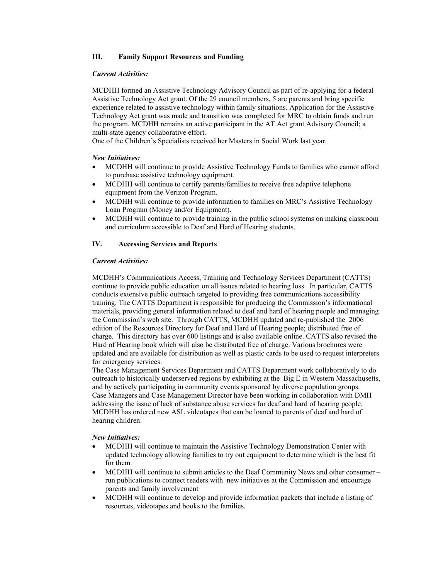## **III. Family Support Resources and Funding**

### *Current Activities:*

MCDHH formed an Assistive Technology Advisory Council as part of re-applying for a federal Assistive Technology Act grant. Of the 29 council members, 5 are parents and bring specific experience related to assistive technology within family situations. Application for the Assistive Technology Act grant was made and transition was completed for MRC to obtain funds and run the program. MCDHH remains an active participant in the AT Act grant Advisory Council; a multi-state agency collaborative effort.

One of the Children's Specialists received her Masters in Social Work last year.

#### *New Initiatives:*

- MCDHH will continue to provide Assistive Technology Funds to families who cannot afford to purchase assistive technology equipment.
- MCDHH will continue to certify parents/families to receive free adaptive telephone equipment from the Verizon Program.
- MCDHH will continue to provide information to families on MRC's Assistive Technology Loan Program (Money and/or Equipment).
- MCDHH will continue to provide training in the public school systems on making classroom and curriculum accessible to Deaf and Hard of Hearing students.

#### **IV. Accessing Services and Reports**

#### *Current Activities:*

MCDHH's Communications Access, Training and Technology Services Department (CATTS) continue to provide public education on all issues related to hearing loss. In particular, CATTS conducts extensive public outreach targeted to providing free communications accessibility training. The CATTS Department is responsible for producing the Commission's informational materials, providing general information related to deaf and hard of hearing people and managing the Commission's web site. Through CATTS, MCDHH updated and re-published the 2006 edition of the Resources Directory for Deaf and Hard of Hearing people; distributed free of charge. This directory has over 600 listings and is also available online. CATTS also revised the Hard of Hearing book which will also be distributed free of charge. Various brochures were updated and are available for distribution as well as plastic cards to be used to request interpreters for emergency services.

The Case Management Services Department and CATTS Department work collaboratively to do outreach to historically underserved regions by exhibiting at the Big E in Western Massachusetts, and by actively participating in community events sponsored by diverse population groups. Case Managers and Case Management Director have been working in collaboration with DMH addressing the issue of lack of substance abuse services for deaf and hard of hearing people. MCDHH has ordered new ASL videotapes that can be loaned to parents of deaf and hard of hearing children.

#### *New Initiatives:*

- MCDHH will continue to maintain the Assistive Technology Demonstration Center with updated technology allowing families to try out equipment to determine which is the best fit for them.
- MCDHH will continue to submit articles to the Deaf Community News and other consumer run publications to connect readers with new initiatives at the Commission and encourage parents and family involvement
- MCDHH will continue to develop and provide information packets that include a listing of resources, videotapes and books to the families.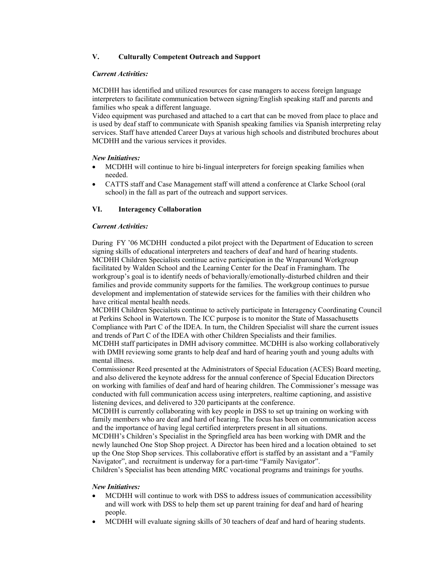## **V. Culturally Competent Outreach and Support**

#### *Current Activities:*

MCDHH has identified and utilized resources for case managers to access foreign language interpreters to facilitate communication between signing/English speaking staff and parents and families who speak a different language.

Video equipment was purchased and attached to a cart that can be moved from place to place and is used by deaf staff to communicate with Spanish speaking families via Spanish interpreting relay services. Staff have attended Career Days at various high schools and distributed brochures about MCDHH and the various services it provides.

#### *New Initiatives:*

- MCDHH will continue to hire bi-lingual interpreters for foreign speaking families when needed.
- CATTS staff and Case Management staff will attend a conference at Clarke School (oral school) in the fall as part of the outreach and support services.

## **VI. Interagency Collaboration**

#### *Current Activities:*

During FY '06 MCDHH conducted a pilot project with the Department of Education to screen signing skills of educational interpreters and teachers of deaf and hard of hearing students. MCDHH Children Specialists continue active participation in the Wraparound Workgroup facilitated by Walden School and the Learning Center for the Deaf in Framingham. The workgroup's goal is to identify needs of behaviorally/emotionally-disturbed children and their families and provide community supports for the families. The workgroup continues to pursue development and implementation of statewide services for the families with their children who have critical mental health needs.

MCDHH Children Specialists continue to actively participate in Interagency Coordinating Council at Perkins School in Watertown. The ICC purpose is to monitor the State of Massachusetts Compliance with Part C of the IDEA. In turn, the Children Specialist will share the current issues and trends of Part C of the IDEA with other Children Specialists and their families.

MCDHH staff participates in DMH advisory committee. MCDHH is also working collaboratively with DMH reviewing some grants to help deaf and hard of hearing youth and young adults with mental illness.

Commissioner Reed presented at the Administrators of Special Education (ACES) Board meeting, and also delivered the keynote address for the annual conference of Special Education Directors on working with families of deaf and hard of hearing children. The Commissioner's message was conducted with full communication access using interpreters, realtime captioning, and assistive listening devices, and delivered to 320 participants at the conference.

MCDHH is currently collaborating with key people in DSS to set up training on working with family members who are deaf and hard of hearing. The focus has been on communication access and the importance of having legal certified interpreters present in all situations.

MCDHH's Children's Specialist in the Springfield area has been working with DMR and the newly launched One Stop Shop project. A Director has been hired and a location obtained to set up the One Stop Shop services. This collaborative effort is staffed by an assistant and a "Family Navigator", and recruitment is underway for a part-time "Family Navigator".

Children's Specialist has been attending MRC vocational programs and trainings for youths.

## *New Initiatives:*

- MCDHH will continue to work with DSS to address issues of communication accessibility and will work with DSS to help them set up parent training for deaf and hard of hearing people.
- MCDHH will evaluate signing skills of 30 teachers of deaf and hard of hearing students.